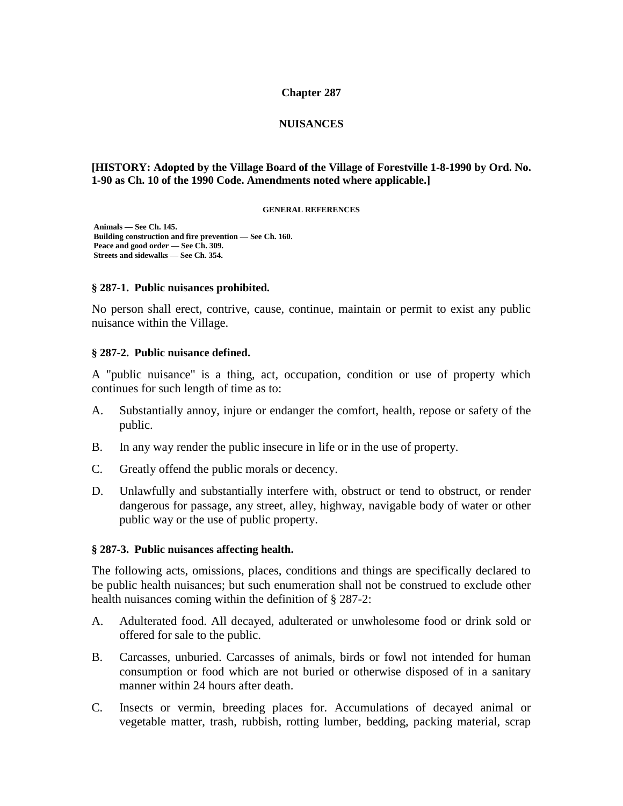#### **Chapter 287**

#### **NUISANCES**

#### **[HISTORY: Adopted by the Village Board of the Village of Forestville 1-8-1990 by Ord. No. 1-90 as Ch. 10 of the 1990 Code. Amendments noted where applicable.]**

#### **GENERAL REFERENCES**

**Animals — See Ch. 145. Building construction and fire prevention — See Ch. 160. Peace and good order — See Ch. 309. Streets and sidewalks — See Ch. 354.**

#### **§ 287-1. Public nuisances prohibited.**

No person shall erect, contrive, cause, continue, maintain or permit to exist any public nuisance within the Village.

#### **§ 287-2. Public nuisance defined.**

A "public nuisance" is a thing, act, occupation, condition or use of property which continues for such length of time as to:

- A. Substantially annoy, injure or endanger the comfort, health, repose or safety of the public.
- B. In any way render the public insecure in life or in the use of property.
- C. Greatly offend the public morals or decency.
- D. Unlawfully and substantially interfere with, obstruct or tend to obstruct, or render dangerous for passage, any street, alley, highway, navigable body of water or other public way or the use of public property.

#### **§ 287-3. Public nuisances affecting health.**

The following acts, omissions, places, conditions and things are specifically declared to be public health nuisances; but such enumeration shall not be construed to exclude other health nuisances coming within the definition of § 287-2:

- A. Adulterated food. All decayed, adulterated or unwholesome food or drink sold or offered for sale to the public.
- B. Carcasses, unburied. Carcasses of animals, birds or fowl not intended for human consumption or food which are not buried or otherwise disposed of in a sanitary manner within 24 hours after death.
- C. Insects or vermin, breeding places for. Accumulations of decayed animal or vegetable matter, trash, rubbish, rotting lumber, bedding, packing material, scrap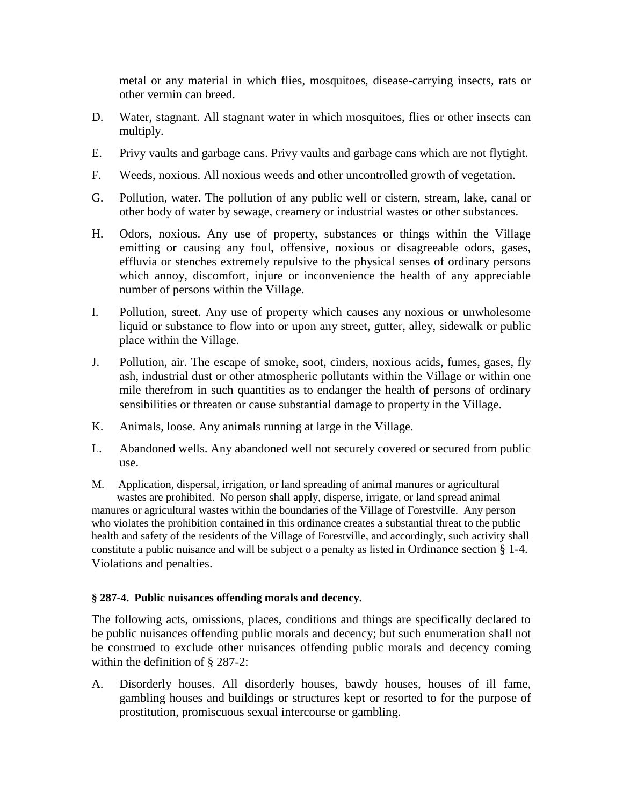metal or any material in which flies, mosquitoes, disease-carrying insects, rats or other vermin can breed.

- D. Water, stagnant. All stagnant water in which mosquitoes, flies or other insects can multiply.
- E. Privy vaults and garbage cans. Privy vaults and garbage cans which are not flytight.
- F. Weeds, noxious. All noxious weeds and other uncontrolled growth of vegetation.
- G. Pollution, water. The pollution of any public well or cistern, stream, lake, canal or other body of water by sewage, creamery or industrial wastes or other substances.
- H. Odors, noxious. Any use of property, substances or things within the Village emitting or causing any foul, offensive, noxious or disagreeable odors, gases, effluvia or stenches extremely repulsive to the physical senses of ordinary persons which annoy, discomfort, injure or inconvenience the health of any appreciable number of persons within the Village.
- I. Pollution, street. Any use of property which causes any noxious or unwholesome liquid or substance to flow into or upon any street, gutter, alley, sidewalk or public place within the Village.
- J. Pollution, air. The escape of smoke, soot, cinders, noxious acids, fumes, gases, fly ash, industrial dust or other atmospheric pollutants within the Village or within one mile therefrom in such quantities as to endanger the health of persons of ordinary sensibilities or threaten or cause substantial damage to property in the Village.
- K. Animals, loose. Any animals running at large in the Village.
- L. Abandoned wells. Any abandoned well not securely covered or secured from public use.
- M. Application, dispersal, irrigation, or land spreading of animal manures or agricultural wastes are prohibited. No person shall apply, disperse, irrigate, or land spread animal manures or agricultural wastes within the boundaries of the Village of Forestville. Any person who violates the prohibition contained in this ordinance creates a substantial threat to the public health and safety of the residents of the Village of Forestville, and accordingly, such activity shall constitute a public nuisance and will be subject o a penalty as listed in Ordinance section § 1-4. Violations and penalties.

# **§ 287-4. Public nuisances offending morals and decency.**

The following acts, omissions, places, conditions and things are specifically declared to be public nuisances offending public morals and decency; but such enumeration shall not be construed to exclude other nuisances offending public morals and decency coming within the definition of § 287-2:

A. Disorderly houses. All disorderly houses, bawdy houses, houses of ill fame, gambling houses and buildings or structures kept or resorted to for the purpose of prostitution, promiscuous sexual intercourse or gambling.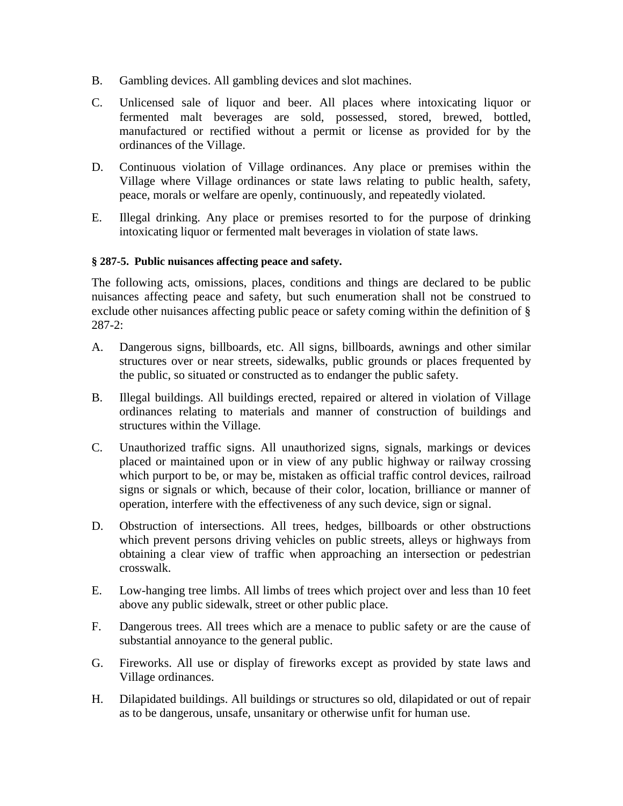- B. Gambling devices. All gambling devices and slot machines.
- C. Unlicensed sale of liquor and beer. All places where intoxicating liquor or fermented malt beverages are sold, possessed, stored, brewed, bottled, manufactured or rectified without a permit or license as provided for by the ordinances of the Village.
- D. Continuous violation of Village ordinances. Any place or premises within the Village where Village ordinances or state laws relating to public health, safety, peace, morals or welfare are openly, continuously, and repeatedly violated.
- E. Illegal drinking. Any place or premises resorted to for the purpose of drinking intoxicating liquor or fermented malt beverages in violation of state laws.

# **§ 287-5. Public nuisances affecting peace and safety.**

The following acts, omissions, places, conditions and things are declared to be public nuisances affecting peace and safety, but such enumeration shall not be construed to exclude other nuisances affecting public peace or safety coming within the definition of § 287-2:

- A. Dangerous signs, billboards, etc. All signs, billboards, awnings and other similar structures over or near streets, sidewalks, public grounds or places frequented by the public, so situated or constructed as to endanger the public safety.
- B. Illegal buildings. All buildings erected, repaired or altered in violation of Village ordinances relating to materials and manner of construction of buildings and structures within the Village.
- C. Unauthorized traffic signs. All unauthorized signs, signals, markings or devices placed or maintained upon or in view of any public highway or railway crossing which purport to be, or may be, mistaken as official traffic control devices, railroad signs or signals or which, because of their color, location, brilliance or manner of operation, interfere with the effectiveness of any such device, sign or signal.
- D. Obstruction of intersections. All trees, hedges, billboards or other obstructions which prevent persons driving vehicles on public streets, alleys or highways from obtaining a clear view of traffic when approaching an intersection or pedestrian crosswalk.
- E. Low-hanging tree limbs. All limbs of trees which project over and less than 10 feet above any public sidewalk, street or other public place.
- F. Dangerous trees. All trees which are a menace to public safety or are the cause of substantial annoyance to the general public.
- G. Fireworks. All use or display of fireworks except as provided by state laws and Village ordinances.
- H. Dilapidated buildings. All buildings or structures so old, dilapidated or out of repair as to be dangerous, unsafe, unsanitary or otherwise unfit for human use.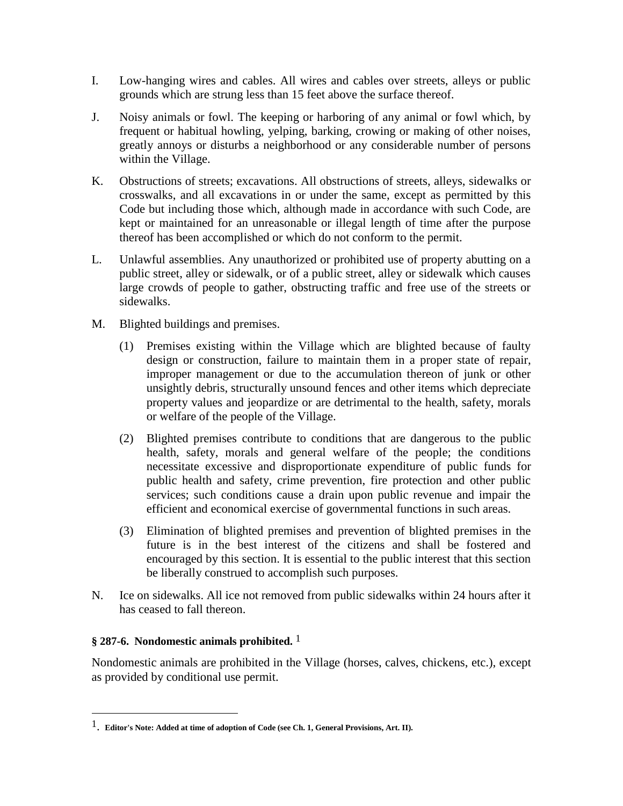- I. Low-hanging wires and cables. All wires and cables over streets, alleys or public grounds which are strung less than 15 feet above the surface thereof.
- J. Noisy animals or fowl. The keeping or harboring of any animal or fowl which, by frequent or habitual howling, yelping, barking, crowing or making of other noises, greatly annoys or disturbs a neighborhood or any considerable number of persons within the Village.
- K. Obstructions of streets; excavations. All obstructions of streets, alleys, sidewalks or crosswalks, and all excavations in or under the same, except as permitted by this Code but including those which, although made in accordance with such Code, are kept or maintained for an unreasonable or illegal length of time after the purpose thereof has been accomplished or which do not conform to the permit.
- L. Unlawful assemblies. Any unauthorized or prohibited use of property abutting on a public street, alley or sidewalk, or of a public street, alley or sidewalk which causes large crowds of people to gather, obstructing traffic and free use of the streets or sidewalks.
- M. Blighted buildings and premises.
	- (1) Premises existing within the Village which are blighted because of faulty design or construction, failure to maintain them in a proper state of repair, improper management or due to the accumulation thereon of junk or other unsightly debris, structurally unsound fences and other items which depreciate property values and jeopardize or are detrimental to the health, safety, morals or welfare of the people of the Village.
	- (2) Blighted premises contribute to conditions that are dangerous to the public health, safety, morals and general welfare of the people; the conditions necessitate excessive and disproportionate expenditure of public funds for public health and safety, crime prevention, fire protection and other public services; such conditions cause a drain upon public revenue and impair the efficient and economical exercise of governmental functions in such areas.
	- (3) Elimination of blighted premises and prevention of blighted premises in the future is in the best interest of the citizens and shall be fostered and encouraged by this section. It is essential to the public interest that this section be liberally construed to accomplish such purposes.
- N. Ice on sidewalks. All ice not removed from public sidewalks within 24 hours after it has ceased to fall thereon.

# **§ 287-6. Nondomestic animals prohibited.** 1

l

Nondomestic animals are prohibited in the Village (horses, calves, chickens, etc.), except as provided by conditional use permit.

<sup>1</sup>. **Editor's Note: Added at time of adoption of Code (see Ch. 1, General Provisions, Art. II).**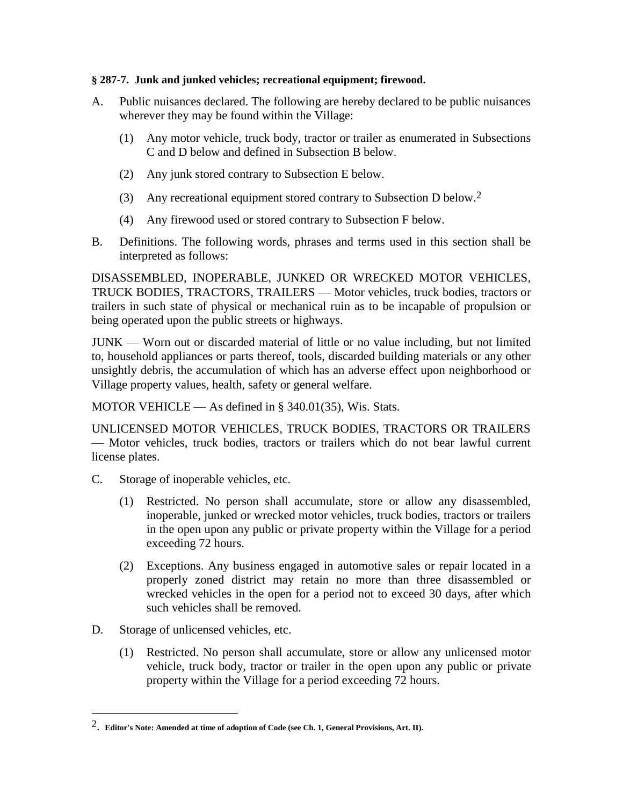### **§ 287-7. Junk and junked vehicles; recreational equipment; firewood.**

- A. Public nuisances declared. The following are hereby declared to be public nuisances wherever they may be found within the Village:
	- (1) Any motor vehicle, truck body, tractor or trailer as enumerated in Subsections C and D below and defined in Subsection B below.
	- (2) Any junk stored contrary to Subsection E below.
	- (3) Any recreational equipment stored contrary to Subsection D below.2
	- (4) Any firewood used or stored contrary to Subsection F below.
- B. Definitions. The following words, phrases and terms used in this section shall be interpreted as follows:

DISASSEMBLED, INOPERABLE, JUNKED OR WRECKED MOTOR VEHICLES, TRUCK BODIES, TRACTORS, TRAILERS — Motor vehicles, truck bodies, tractors or trailers in such state of physical or mechanical ruin as to be incapable of propulsion or being operated upon the public streets or highways.

JUNK — Worn out or discarded material of little or no value including, but not limited to, household appliances or parts thereof, tools, discarded building materials or any other unsightly debris, the accumulation of which has an adverse effect upon neighborhood or Village property values, health, safety or general welfare.

MOTOR VEHICLE — As defined in § 340.01(35), Wis. Stats.

UNLICENSED MOTOR VEHICLES, TRUCK BODIES, TRACTORS OR TRAILERS — Motor vehicles, truck bodies, tractors or trailers which do not bear lawful current license plates.

- C. Storage of inoperable vehicles, etc.
	- (1) Restricted. No person shall accumulate, store or allow any disassembled, inoperable, junked or wrecked motor vehicles, truck bodies, tractors or trailers in the open upon any public or private property within the Village for a period exceeding 72 hours.
	- (2) Exceptions. Any business engaged in automotive sales or repair located in a properly zoned district may retain no more than three disassembled or wrecked vehicles in the open for a period not to exceed 30 days, after which such vehicles shall be removed.
- D. Storage of unlicensed vehicles, etc.

l

(1) Restricted. No person shall accumulate, store or allow any unlicensed motor vehicle, truck body, tractor or trailer in the open upon any public or private property within the Village for a period exceeding 72 hours.

<sup>2</sup>. **Editor's Note: Amended at time of adoption of Code (see Ch. 1, General Provisions, Art. II).**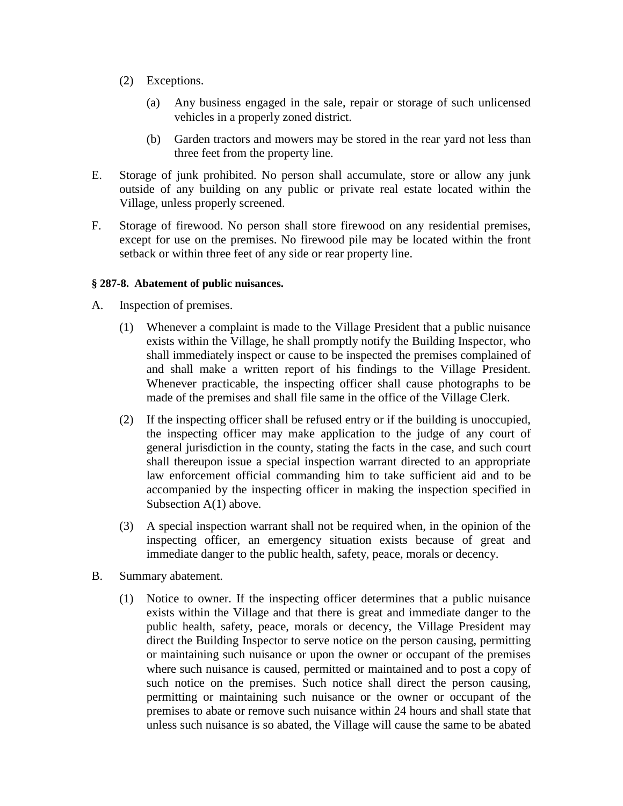- (2) Exceptions.
	- (a) Any business engaged in the sale, repair or storage of such unlicensed vehicles in a properly zoned district.
	- (b) Garden tractors and mowers may be stored in the rear yard not less than three feet from the property line.
- E. Storage of junk prohibited. No person shall accumulate, store or allow any junk outside of any building on any public or private real estate located within the Village, unless properly screened.
- F. Storage of firewood. No person shall store firewood on any residential premises, except for use on the premises. No firewood pile may be located within the front setback or within three feet of any side or rear property line.

# **§ 287-8. Abatement of public nuisances.**

- A. Inspection of premises.
	- (1) Whenever a complaint is made to the Village President that a public nuisance exists within the Village, he shall promptly notify the Building Inspector, who shall immediately inspect or cause to be inspected the premises complained of and shall make a written report of his findings to the Village President. Whenever practicable, the inspecting officer shall cause photographs to be made of the premises and shall file same in the office of the Village Clerk.
	- (2) If the inspecting officer shall be refused entry or if the building is unoccupied, the inspecting officer may make application to the judge of any court of general jurisdiction in the county, stating the facts in the case, and such court shall thereupon issue a special inspection warrant directed to an appropriate law enforcement official commanding him to take sufficient aid and to be accompanied by the inspecting officer in making the inspection specified in Subsection A(1) above.
	- (3) A special inspection warrant shall not be required when, in the opinion of the inspecting officer, an emergency situation exists because of great and immediate danger to the public health, safety, peace, morals or decency.
- B. Summary abatement.
	- (1) Notice to owner. If the inspecting officer determines that a public nuisance exists within the Village and that there is great and immediate danger to the public health, safety, peace, morals or decency, the Village President may direct the Building Inspector to serve notice on the person causing, permitting or maintaining such nuisance or upon the owner or occupant of the premises where such nuisance is caused, permitted or maintained and to post a copy of such notice on the premises. Such notice shall direct the person causing, permitting or maintaining such nuisance or the owner or occupant of the premises to abate or remove such nuisance within 24 hours and shall state that unless such nuisance is so abated, the Village will cause the same to be abated